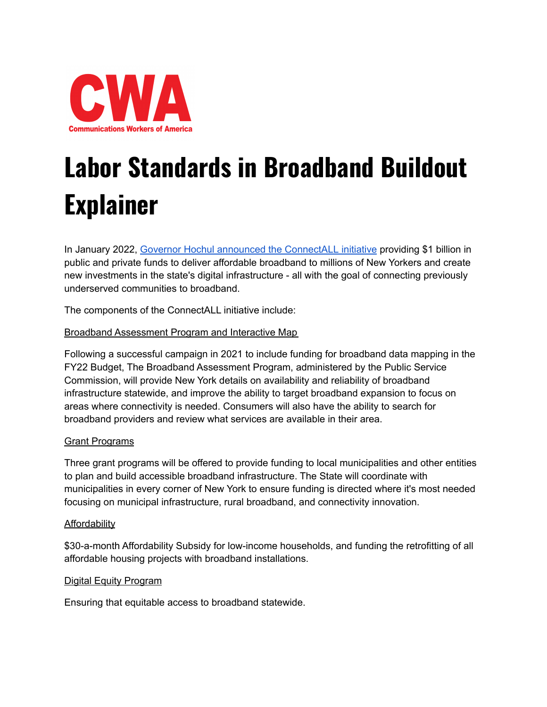

# **Labor Standards in Broadband Buildout Explainer**

In January 2022, Governor Hochul announced the [ConnectALL](https://www.governor.ny.gov/news/governor-hochul-announces-new-1-billion-connectall-initiative-bring-affordable-broadband) initiative providing \$1 billion in public and private funds to deliver affordable broadband to millions of New Yorkers and create new investments in the state's digital infrastructure - all with the goal of connecting previously underserved communities to broadband.

The components of the ConnectALL initiative include:

## Broadband Assessment Program and Interactive Map

Following a successful campaign in 2021 to include funding for broadband data mapping in the FY22 Budget, The Broadband Assessment Program, administered by the Public Service Commission, will provide New York details on availability and reliability of broadband infrastructure statewide, and improve the ability to target broadband expansion to focus on areas where connectivity is needed. Consumers will also have the ability to search for broadband providers and review what services are available in their area.

## Grant Programs

Three grant programs will be offered to provide funding to local municipalities and other entities to plan and build accessible broadband infrastructure. The State will coordinate with municipalities in every corner of New York to ensure funding is directed where it's most needed focusing on municipal infrastructure, rural broadband, and connectivity innovation.

### **Affordability**

\$30-a-month Affordability Subsidy for low-income households, and funding the retrofitting of all affordable housing projects with broadband installations.

### Digital Equity Program

Ensuring that equitable access to broadband statewide.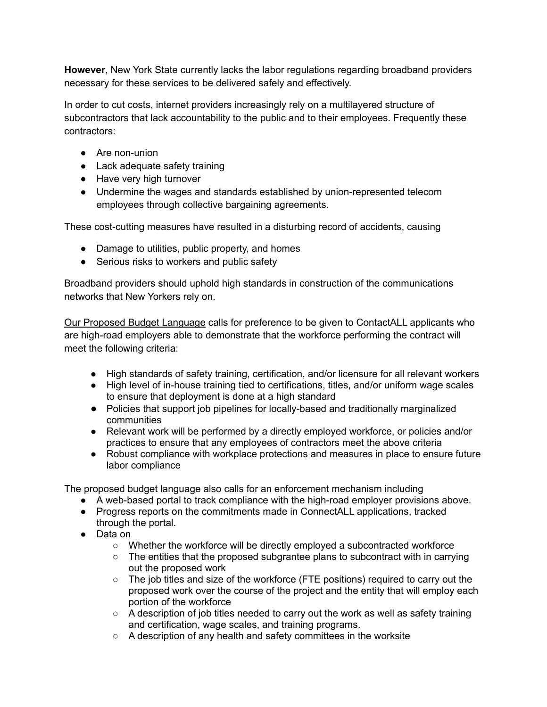**However**, New York State currently lacks the labor regulations regarding broadband providers necessary for these services to be delivered safely and effectively.

In order to cut costs, internet providers increasingly rely on a multilayered structure of subcontractors that lack accountability to the public and to their employees. Frequently these contractors:

- Are non-union
- Lack adequate safety training
- Have very high turnover
- Undermine the wages and standards established by union-represented telecom employees through collective bargaining agreements.

These cost-cutting measures have resulted in a disturbing record of accidents, causing

- Damage to utilities, public property, and homes
- Serious risks to workers and public safety

Broadband providers should uphold high standards in construction of the communications networks that New Yorkers rely on.

Our Proposed Budget Language calls for preference to be given to ContactALL applicants who are high-road employers able to demonstrate that the workforce performing the contract will meet the following criteria:

- High standards of safety training, certification, and/or licensure for all relevant workers
- High level of in-house training tied to certifications, titles, and/or uniform wage scales to ensure that deployment is done at a high standard
- Policies that support job pipelines for locally-based and traditionally marginalized communities
- Relevant work will be performed by a directly employed workforce, or policies and/or practices to ensure that any employees of contractors meet the above criteria
- Robust compliance with workplace protections and measures in place to ensure future labor compliance

The proposed budget language also calls for an enforcement mechanism including

- A web-based portal to track compliance with the high-road employer provisions above.
- Progress reports on the commitments made in ConnectALL applications, tracked through the portal.
- Data on
	- Whether the workforce will be directly employed a subcontracted workforce
	- $\circ$  The entities that the proposed subgrantee plans to subcontract with in carrying out the proposed work
	- The job titles and size of the workforce (FTE positions) required to carry out the proposed work over the course of the project and the entity that will employ each portion of the workforce
	- A description of job titles needed to carry out the work as well as safety training and certification, wage scales, and training programs.
	- A description of any health and safety committees in the worksite